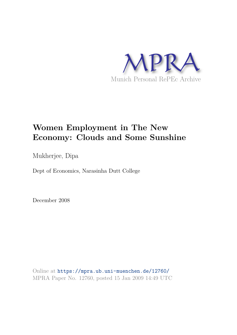

# **Women Employment in The New Economy: Clouds and Some Sunshine**

Mukherjee, Dipa

Dept of Economics, Narasinha Dutt College

December 2008

Online at https://mpra.ub.uni-muenchen.de/12760/ MPRA Paper No. 12760, posted 15 Jan 2009 14:49 UTC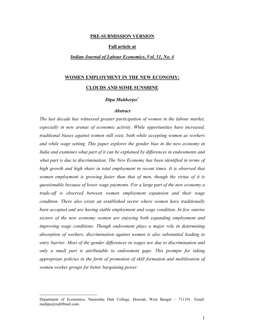### PRE-SUBMISSION VERSION

### **Full article at**

### **Indian Journal of Labour Economics, Vol. 51, No. 4**

# WOMEN EMPLOYMENT IN THE NEW ECONOMY:

### **CLOUDS AND SOME SUNSHINE**

# Dipa Mukherjee\*

### **Abstract**

The last decade has witnessed greater participation of women in the labour market, especially in new arenas of economic activity. While opportunities have increased, traditional biases against women still exist, both while accepting women as workers and while wage setting. This paper explores the gender bias in the new economy in India and examines what part of it can be explained by differences in endowments and what part is due to discrimination. The New Economy has been identified in terms of high growth and high share in total employment in recent times. It is observed that women employment is growing faster than that of men, though the virtue of it is questionable because of lower wage payments. For a large part of the new economy a trade-off is observed between women employment expansion and their wage condition. There also exists an established sector where women have traditionally been accepted and are having stable employment and wage condition. In few sunrise sectors of the new economy women are enjoying both expanding employment and improving wage conditions. Though endowment plays a major role in determining absorption of workers, discrimination against women is also substantial leading to entry barrier. Most of the gender differences in wages are due to discrimination and only a small part is attributable to endowment gaps. This prompts for taking appropriate policies in the form of promotion of skill formation and mobilisation of women worker groups for better bargaining power.

Department of Economics, Narasinha Dutt College, Howrah, West Bengal - 711101. Email: medipa@rediffmail.com.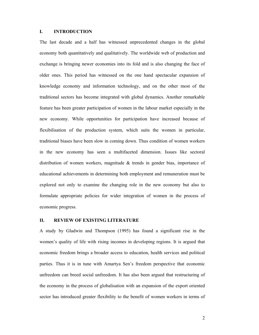#### $\mathbf{L}$ **INTRODUCTION**

The last decade and a half has witnessed unprecedented changes in the global economy both quantitatively and qualitatively. The worldwide web of production and exchange is bringing newer economies into its fold and is also changing the face of older ones. This period has witnessed on the one hand spectacular expansion of knowledge economy and information technology, and on the other most of the traditional sectors has become integrated with global dynamics. Another remarkable feature has been greater participation of women in the labour market especially in the new economy. While opportunities for participation have increased because of flexibilisation of the production system, which suits the women in particular, traditional biases have been slow in coming down. Thus condition of women workers in the new economy has seen a multifaceted dimension. Issues like sectoral distribution of women workers, magnitude  $\&$  trends in gender bias, importance of educational achievements in determining both employment and remuneration must be explored not only to examine the changing role in the new economy but also to formulate appropriate policies for wider integration of women in the process of economic progress.

#### **II. REVIEW OF EXISTING LITERATURE**

A study by Gladwin and Thompson (1995) has found a significant rise in the women's quality of life with rising incomes in developing regions. It is argued that economic freedom brings a broader access to education, health services and political parties. Thus it is in tune with Amartya Sen's freedom perspective that economic unfreedom can breed social unfreedom. It has also been argued that restructuring of the economy in the process of globalisation with an expansion of the export oriented sector has introduced greater flexibility to the benefit of women workers in terms of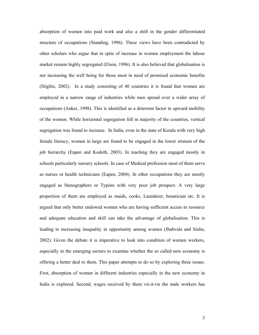absorption of women into paid work and also a shift in the gender differentiated structure of occupations (Standing, 1996). These views have been contradicted by other scholars who argue that in spite of increase in women employment the labour market remain highly segregated (Elson, 1996). It is also believed that globalisation is not increasing the well being for those most in need of promised economic benefits (Stiglitz, 2002). In a study consisting of 40 countries it is found that women are employed in a narrow range of industries while men spread over a wider array of occupations (Anker, 1998). This is identified as a deterrent factor to upward mobility of the women. While horizontal segregation fell in majority of the countries, vertical segregation was found to increase. In India, even in the state of Kerala with very high female literacy, women in large are found to be engaged in the lower stratum of the job hierarchy (Eapen and Kodoth, 2003). In teaching they are engaged mostly in schools particularly nursery schools. In case of Medical profession most of them serve as nurses or health technicians (Eapen, 2004). In other occupations they are mostly engaged as Stenographers or Typists with very poor job prospect. A very large proportion of them are employed as maids, cooks, Launderer, beautician etc. It is argued that only better endowed women who are having sufficient access to resource and adequate education and skill can take the advantage of globalisation. This is leading to increasing inequality in opportunity among women (Jhabvala and Sinha, 2002). Given the debate it is imperative to look into condition of women workers, especially in the emerging sectors to examine whether the so called new economy is offering a better deal to them. This paper attempts to do so by exploring three issues. First, absorption of women in different industries especially in the new economy in India is explored. Second, wages received by them vis-à-vis the male workers has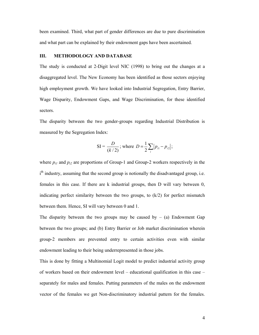been examined. Third, what part of gender differences are due to pure discrimination and what part can be explained by their endowment gaps have been ascertained.

#### Ш. **METHODOLOGY AND DATABASE**

The study is conducted at 2-Digit level NIC (1998) to bring out the changes at a disaggregated level. The New Economy has been identified as those sectors enjoying high employment growth. We have looked into Industrial Segregation, Entry Barrier, Wage Disparity, Endowment Gaps, and Wage Discrimination, for these identified sectors.

The disparity between the two gender-groups regarding Industrial Distribution is measured by the Segregation Index:

SI = 
$$
\frac{D}{(k/2)}
$$
; where  $D = \frac{1}{2} \sum_{i} |p_{i1} - p_{i2}|$ ;

where  $p_{i,l}$  and  $p_{i2}$  are proportions of Group-1 and Group-2 workers respectively in the i<sup>th</sup> industry, assuming that the second group is notionally the disadvantaged group, i.e. females in this case. If there are k industrial groups, then D will vary between 0, indicating perfect similarity between the two groups, to  $(k/2)$  for perfect mismatch between them. Hence, SI will vary between 0 and 1.

The disparity between the two groups may be caused by  $-$  (a) Endowment Gap between the two groups; and (b) Entry Barrier or Job market discrimination wherein group-2 members are prevented entry to certain activities even with similar endowment leading to their being underrepresented in those jobs.

This is done by fitting a Multinomial Logit model to predict industrial activity group of workers based on their endowment level – educational qualification in this case – separately for males and females. Putting parameters of the males on the endowment vector of the females we get Non-discriminatory industrial pattern for the females.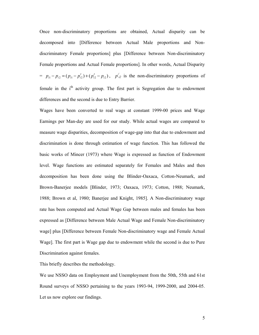Once non-discriminatory proportions are obtained, Actual disparity can be decomposed into [Difference between Actual Male proportions and Nondiscriminatory Female proportions] plus [Difference between Non-discriminatory Female proportions and Actual Female proportions]. In other words, Actual Disparity =  $p_{i1} - p_{i2} = (p_{i1} - p'_{i2}) + (p'_{i2} - p_{i2})$ ,  $p'_{i2}$  is the non-discriminatory proportions of female in the i<sup>th</sup> activity group. The first part is Segregation due to endowment differences and the second is due to Entry Barrier.

Wages have been converted to real wags at constant 1999-00 prices and Wage Earnings per Man-day are used for our study. While actual wages are compared to measure wage disparities, decomposition of wage-gap into that due to endowment and discrimination is done through estimation of wage function. This has followed the basic works of Mincer (1973) where Wage is expressed as function of Endowment level. Wage functions are estimated separately for Females and Males and then decomposition has been done using the Blinder-Oaxaca, Cotton-Neumark, and Brown-Banerjee models [Blinder, 1973; Oaxaca, 1973; Cotton, 1988; Neumark, 1988; Brown et al. 1980; Banerjee and Knight, 1985]. A Non-discriminatory wage rate has been computed and Actual Wage Gap between males and females has been expressed as [Difference between Male Actual Wage and Female Non-discriminatory wage] plus [Difference between Female Non-discriminatory wage and Female Actual Wage]. The first part is Wage gap due to endowment while the second is due to Pure Discrimination against females.

This briefly describes the methodology.

We use NSSO data on Employment and Unemployment from the 50th, 55th and 61st Round surveys of NSSO pertaining to the years 1993-94, 1999-2000, and 2004-05. Let us now explore our findings.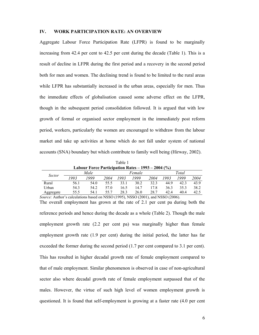#### $IV.$ WORK PARTICIPATION RATE: AN OVERVIEW

Aggregate Labour Force Participation Rate (LFPR) is found to be marginally increasing from 42.4 per cent to 42.5 per cent during the decade (Table 1). This is a result of decline in LFPR during the first period and a recovery in the second period both for men and women. The declining trend is found to be limited to the rural areas while LFPR has substantially increased in the urban areas, especially for men. Thus the immediate effects of globalisation caused some adverse effect on the LFPR, though in the subsequent period consolidation followed. It is argued that with low growth of formal or organised sector employment in the immediately post reform period, workers, particularly the women are encouraged to withdraw from the labour market and take up activities at home which do not fall under system of national accounts (SNA) boundary but which contribute to family well being (Hirway, 2002).

Table 1 Labour Force Participation Rates  $-1993 - 2004$  (%)

| <i>Sector</i> |      | Male |      |      | Female |      | Total |      |      |
|---------------|------|------|------|------|--------|------|-------|------|------|
|               | '993 | '999 | 2004 | '993 | '999   | 2004 | 1993  | 1999 | 2004 |
| Rural         | 56.1 | 54.0 | 55.5 | 33.1 | 30.2   | 32.3 | 44.9  | 42.3 | 43.9 |
| Urban         | 54.3 | 54.2 | 57.0 | 16.5 | 14.7   | 17.8 | 36.3  | 35.3 | 38.2 |
| Aggregate     | 55.5 | 54.1 | 55.7 | 28.3 | 26.0   | 28.7 | 42.4  | 40.4 | 42.5 |

Source: Author's calculations based on NSSO (1995), NSSO (2001), and NSSO (2006).

The overall employment has grown at the rate of 2.1 per cent pa during both the reference periods and hence during the decade as a whole (Table 2). Though the male employment growth rate (2.2 per cent pa) was marginally higher than female employment growth rate (1.9 per cent) during the initial period, the latter has far exceeded the former during the second period (1.7 per cent compared to 3.1 per cent). This has resulted in higher decadal growth rate of female employment compared to that of male employment. Similar phenomenon is observed in case of non-agricultural sector also where decadal growth rate of female employment surpassed that of the males. However, the virtue of such high level of women employment growth is questioned. It is found that self-employment is growing at a faster rate (4.0 per cent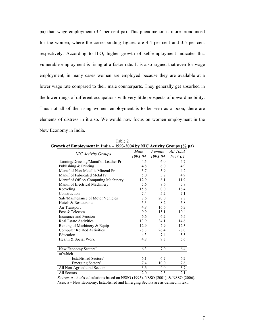pa) than wage employment (3.4 per cent pa). This phenomenon is more pronounced for the women, where the corresponding figures are 4.4 per cent and 3.5 per cent respectively. According to ILO, higher growth of self-employment indicates that vulnerable employment is rising at a faster rate. It is also argued that even for wage employment, in many cases women are employed because they are available at a lower wage rate compared to their male counterparts. They generally get absorbed in the lower rungs of different occupations with very little prospects of upward mobility. Thus not all of the rising women employment is to be seen as a boon, there are elements of distress in it also. We would now focus on women employment in the New Economy in India.

|                                      | Male             | Female  | All Total |
|--------------------------------------|------------------|---------|-----------|
| <b>NIC Activity Groups</b>           | 1993-04          | 1993-04 | 1993-04   |
| Tanning/Dressing/Manuf of Leather Pr | 4.5              | 6.0     | 4.7       |
| Publishing & Printing                | 4.8              | 6.0     | 4.9       |
| Manuf of Non-Metallic Mineral Pr     | 3.7              | 5.9     | 4.2       |
| Manuf of Fabricated Metal Pr         | 5.0              | 3.7     | 4.9       |
| Manuf of Office/ Computing Machinery | 12.9             | 8.1     | 11.9      |
| Manuf of Electrical Machinery        | 5.6              | 8.6     | 5.8       |
| Recycling                            | 15.8             | 0.0     | 18.4      |
| Construction                         | 7.4              | 5.2     | 7.1       |
| Sale/Maintenance of Motor Vehicles   | 7.6              | 20.0    | 7.8       |
| Hotels & Restaurants                 | 5.3              | 8.2     | 5.8       |
| Air Transport                        | 4.8              | 16.6    | 6.3       |
| Post & Telecom                       | 9.9              | 15.1    | 10.4      |
| Insurance and Pension                | 6.6              | 6.2     | 6.5       |
| <b>Real Estate Activities</b>        | 13.9             | 34.1    | 14.6      |
| Renting of Machinery & Equip         | 12.9             | 2.9     | 12.3      |
| <b>Computer Related Activities</b>   | 28.3             | 26.4    | 28.0      |
| Education                            | 4.3              | 7.4     | 5.5       |
| Health & Social Work                 | 4.8              | 7.3     | 5.6       |
|                                      |                  |         |           |
| New Economy Sectors <sup>a</sup>     | 6.3              | 7.0     | 6.4       |
| of which                             |                  |         |           |
| Established Sectors <sup>a</sup>     | 6.1              | 6.7     | 6.2       |
| Emerging Sectors <sup>a</sup>        | 7.4              | 10.0    | 7.6       |
| All Non-Agricultural Sectors         | $\overline{3.6}$ | 4.0     | 3.7       |
| All Sectors                          | 2.0              | 2.5     | 2.1       |

Table 2 Growth of Employment in India – 1993-2004 by NIC Activity Groups (% pa)

Source: Author's calculations based on NSSO (1995), NSSO (2001), & NSSO (2006). *Note:* a – New Economy, Established and Emerging Sectors are as defined in text.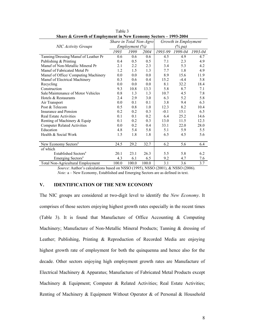| are a strong of Employment in Field Economy Sectors | Share in Total Non-Agro |                |       | Growth in Employment |           |         |  |  |
|-----------------------------------------------------|-------------------------|----------------|-------|----------------------|-----------|---------|--|--|
| <b>NIC Activity Groups</b>                          |                         | Employment (%) |       |                      | $(\%$ pa) |         |  |  |
|                                                     | 1993                    | 1999           | 2004  | 1993-99              | 1999-04   | 1993-04 |  |  |
| Tanning/Dressing/Manuf of Leather Pr                | 0.6                     | 0.6            | 0.6   | 4.5                  | 4.9       | 4.7     |  |  |
| Publishing & Printing                               | 0.4                     | 0.5            | 0.5   | 7.1                  | 2.3       | 4.9     |  |  |
| Manuf of Non-Metallic Mineral Pr                    | 2.1                     | 2.2            | 2.3   | 3.4                  | 5.3       | 4.2     |  |  |
| Manuf of Fabricated Metal Pr                        | 1.2                     | 1.5            | 1.3   | 7.7                  | 1.8       | 4.9     |  |  |
| Manuf of Office/ Computing Machinery                | 0.0                     | 0.0            | 0.0   | 8.9                  | 15.6      | 11.9    |  |  |
| Manuf of Electrical Machinery                       | 0.3                     | 0.6            | 0.4   | 15.2                 | $-4.4$    | 5.8     |  |  |
| Recycling                                           | 0.0                     | 0.0            | 0.0   | 8.1                  | 32.2      | 18.4    |  |  |
| Construction                                        | 9.3                     | 10.8           | 13.3  | 5.8                  | 8.7       | 7.1     |  |  |
| Sale/Maintenance of Motor Vehicles                  | 0.8                     | 1.3            | 1.3   | 10.7                 | 4.5       | 7.8     |  |  |
| Hotels & Restaurants                                | 2.4                     | 2.9            | 3.0   | 6.3                  | 5.2       | 5.8     |  |  |
| Air Transport                                       | 0.0                     | 0.1            | 0.1   | 3.8                  | 9.4       | 6.3     |  |  |
| Post & Telecom                                      | 0.5                     | 0.8            | 1.0   | 12.3                 | 8.2       | 10.4    |  |  |
| Insurance and Pension                               | 0.2                     | 0.2            | 0.3   | $-0.1$               | 15.1      | 6.5     |  |  |
| <b>Real Estate Activities</b>                       | 0.1                     | 0.1            | 0.2   | 6.4                  | 25.2      | 14.6    |  |  |
| Renting of Machinery & Equip                        | 0.1                     | 0.2            | 0.3   | 13.0                 | 11.5      | 12.3    |  |  |
| <b>Computer Related Activities</b>                  | 0.0                     | 0.2            | 0.4   | 33.1                 | 22.0      | 28.0    |  |  |
| Education                                           | 4.8                     | 5.4            | 5.8   | 5.1                  | 5.9       | 5.5     |  |  |
| Health & Social Work                                | 1.5                     | 1.8            | 1.8   | 6.5                  | 4.5       | 5.6     |  |  |
|                                                     |                         |                |       |                      |           |         |  |  |
| New Economy Sectors <sup>a</sup>                    | 24.5                    | 29.2           | 32.7  | 6.2                  | 5.6       | 6.4     |  |  |
| of which                                            |                         |                |       |                      |           |         |  |  |
| Established Sectors <sup>a</sup>                    | 20.1                    | 23.1           | 26.3  | 5.5                  | 5.8       | 6.2     |  |  |
| Emerging Sectors <sup>a</sup>                       | 4.3                     | 6.1            | 6.5   | 9.2                  | 4.7       | 7.6     |  |  |
| <b>Total Non-Agricultural Employment</b>            | 100.0                   | 100.0          | 100.0 | 3.1                  | 3.6       | 3.7     |  |  |

Table 3 Share & Growth of Employment in New Economy Sectors - 1993-2004

Source: Author's calculations based on NSSO (1995), NSSO (2001), & NSSO (2006). Note: a – New Economy, Established and Emerging Sectors are as defined in text.

#### $V_{\star}$ **IDENTIFICATION OF THE NEW ECONOMY**

The NIC groups are considered at two-digit level to identify the New Economy. It comprises of those sectors enjoying highest growth rates especially in the recent times (Table 3). It is found that Manufacture of Office Accounting & Computing Machinery; Manufacture of Non-Metallic Mineral Products; Tanning & dressing of Leather; Publishing, Printing & Reproduction of Recorded Media are enjoying highest growth rate of employment for both the quinquenna and hence also for the decade. Other sectors enjoying high employment growth rates are Manufacture of Electrical Machinery & Apparatus; Manufacture of Fabricated Metal Products except Machinery & Equipment; Computer & Related Activities; Real Estate Activities; Renting of Machinery & Equipment Without Operator & of Personal & Household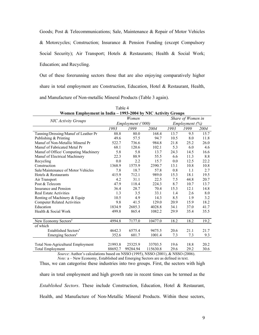Goods; Post & Telecommunications; Sale, Maintenance & Repair of Motor Vehicles & Motorcycles; Construction; Insurance & Pension Funding (except Compulsory Social Security); Air Transport; Hotels & Restaurants; Health & Social Work; Education; and Recycling.

Out of these forerunning sectors those that are also enjoying comparatively higher share in total employment are Construction, Education, Hotel & Restaurant, Health, and Manufacture of Non-metallic Mineral Products (Table 3 again).

| Women Employment in India - 1993-2004 by NIC Activity Groups |         |                   |                   |      |                |      |
|--------------------------------------------------------------|---------|-------------------|-------------------|------|----------------|------|
|                                                              |         | Women             | Share of Women in |      |                |      |
| <b>NIC Activity Groups</b>                                   |         | Employment ('000) |                   |      | Employment (%) |      |
|                                                              | 1993    | 1999              | 2004              | 1993 | 1999           | 2004 |
| Tanning/Dressing/Manuf of Leather Pr                         | 88.8    | 80.0              | 168.4             | 13.7 | 9.5            | 15.7 |
| Publishing & Printing                                        | 49.6    | 57.5              | 94.7              | 10.5 | 8.0            | 11.8 |
| Manuf of Non-Metallic Mineral Pr                             | 522.7   | 736.6             | 984.8             | 21.8 | 25.2           | 26.0 |
| Manuf of Fabricated Metal Pr                                 | 68.1    | 120.6             | 102.1             | 5.3  | 6.0            | 4.6  |
| Manuf of Office/ Computing Machinery                         | 5.8     | 5.8               | 13.7              | 24.3 | 14.5           | 16.6 |
| Manuf of Electrical Machinery                                | 22.3    | 88.9              | 55.5              | 6.6  | 11.3           | 8.8  |
| Recycling                                                    | 0.0     | 2.2               | 15.7              | 0.0  | 12.5           | 22.2 |
| Construction                                                 | 1368.9  | 1575.9            | 2390.7            | 13.1 | 10.8           | 10.8 |
| Sale/Maintenance of Motor Vehicles                           | 7.8     | 18.7              | 57.8              | 0.8  | 1.1            | 2.7  |
| Hotels & Restaurants                                         | 415.9   | 712.1             | 989.0             | 15.3 | 18.1           | 19.5 |
| Air Transport                                                | 4.2     | 31.1              | 22.5              | 7.5  | 44.8           | 20.7 |
| Post & Telecom                                               | 47.9    | 118.4             | 224.3             | 8.7  | 10.7           | 13.7 |
| Insurance and Pension                                        | 36.4    | 28.7              | 70.4              | 15.3 | 12.1           | 14.8 |
| <b>Real Estate Activities</b>                                | 1.3     | 3.5               | 33.1              | 1.4  | 2.6            | 8.0  |
| Renting of Machinery & Equip                                 | 10.5    | 4.9               | 14.3              | 8.5  | 1.9            | 3.2  |
| <b>Computer Related Activities</b>                           | 9.8     | 41.5              | 129.0             | 20.9 | 15.9           | 18.2 |
| Education                                                    | 1834.9  | 2685.3            | 4028.8            | 34.1 | 37.0           | 41.7 |
| Health & Social Work                                         | 499.8   | 865.4             | 1082.2            | 29.9 | 35.4           | 35.5 |
|                                                              |         |                   |                   |      |                |      |
| New Economy Sectors <sup>a</sup>                             | 4994.8  | 7177.0            | 10477.0           | 18.2 | 18.2           | 19.2 |
| of which                                                     |         |                   |                   |      |                |      |
| Established Sectors <sup>a</sup>                             | 4642.3  | 6575.4            | 9475.5            | 20.6 | 21.1           | 21.7 |
| Emerging Sectors <sup>a</sup>                                | 352.6   | 601.7             | 1001.4            | 7.3  | 7.3            | 9.3  |
| Total Non-Agricultural Employment                            | 21993.8 | 25325.9           | 33703.5           | 19.6 | 18.8           | 20.2 |
| <b>Total Employment</b>                                      | 88692.7 | 99284.94          | 115630.8          | 29.6 | 29.2           | 30.6 |
|                                                              |         |                   |                   |      |                |      |

| Table 4                                                    |  |
|------------------------------------------------------------|--|
| omen Employment in India - 1993-2004 by NIC Activity Group |  |

Source: Author's calculations based on NSSO (1995), NSSO (2001), & NSSO (2006). Note: a - New Economy, Established and Emerging Sectors are as defined in text.

Thus, we can categorise these industries into two groups. First, the sectors with high share in total employment and high growth rate in recent times can be termed as the Established Sectors. These include Construction, Education, Hotel & Restaurant, Health, and Manufacture of Non-Metallic Mineral Products. Within these sectors,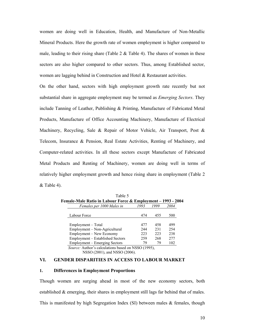women are doing well in Education, Health, and Manufacture of Non-Metallic Mineral Products. Here the growth rate of women employment is higher compared to male, leading to their rising share (Table  $2 \&$  Table 4). The shares of women in these sectors are also higher compared to other sectors. Thus, among Established sector, women are lagging behind in Construction and Hotel & Restaurant activities.

On the other hand, sectors with high employment growth rate recently but not substantial share in aggregate employment may be termed as *Emerging Sectors*. They include Tanning of Leather, Publishing  $\&$  Printing, Manufacture of Fabricated Metal Products, Manufacture of Office Accounting Machinery, Manufacture of Electrical Machinery, Recycling, Sale & Repair of Motor Vehicle, Air Transport, Post & Telecom, Insurance & Pension, Real Estate Activities, Renting of Machinery, and Computer-related activities. In all these sectors except Manufacture of Fabricated Metal Products and Renting of Machinery, women are doing well in terms of relatively higher employment growth and hence rising share in employment (Table 2)  $&$  Table 4).

| Female-Male Ratio in Labour Force & Employment – 1993 - 2004 |      |      |      |
|--------------------------------------------------------------|------|------|------|
| Females per 1000 Males in                                    | 1993 | 1999 | 2004 |
| Labour Force                                                 | 474  | 455  | 500  |
| Employment – Total                                           | 477  | 458  | 499  |
| Employment – Non-Agricultural                                | 244  | 231  | 254  |
| Employment - New Economy                                     | 223  | 223  | 238  |
| Employment - Established Sectors                             | 259  | 268  | 2.77 |
| Employment – Emerging Sectors                                | 79   | 79   | 102  |
| Source: Author's calculations based on NSSO (1995),          |      |      |      |

Table 5

NSSO (2001), and NSSO (2006).

#### VI. **GENDER DISPARITIES IN ACCESS TO LABOUR MARKET**

#### **Differences in Employment Proportions** 1.

Though women are surging ahead in most of the new economy sectors, both established  $\&$  emerging, their shares in employment still lags far behind that of males. This is manifested by high Segregation Index (SI) between males & females, though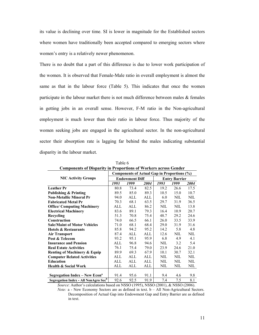its value is declining over time. SI is lower in magnitude for the Established sectors where women have traditionally been accepted compared to emerging sectors where women's entry is a relatively newer phenomenon.

There is no doubt that a part of this difference is due to lower work participation of the women. It is observed that Female-Male ratio in overall employment is almost the same as that in the labour force (Table 5). This indicates that once the women participate in the labour market there is not much difference between males  $\&$  females in getting jobs in an overall sense. However, F-M ratio in the Non-agricultural employment is much lower than their ratio in labour force. Thus majority of the women seeking jobs are engaged in the agricultural sector. In the non-agricultural sector their absorption rate is lagging far behind the males indicating substantial disparity in the labour market.

| Components of Disparity in Proportions of Workers across Gender |                                             |                       |      |      |                      |      |  |  |  |  |  |  |
|-----------------------------------------------------------------|---------------------------------------------|-----------------------|------|------|----------------------|------|--|--|--|--|--|--|
|                                                                 | Components of Actual Gap in Proportions (%) |                       |      |      |                      |      |  |  |  |  |  |  |
| <b>NIC Activity Groups</b>                                      |                                             | <b>Endowment Diff</b> |      |      | <b>Entry Barrier</b> |      |  |  |  |  |  |  |
|                                                                 | 1993                                        | 1999                  | 2004 | 1993 | 1999                 | 2004 |  |  |  |  |  |  |
| <b>Leather Pr</b>                                               | 80.8                                        | 73.4                  | 82.5 | 19.2 | 26.6                 | 17.5 |  |  |  |  |  |  |
| <b>Publishing &amp; Printing</b>                                | 89.5                                        | 85.0                  | 89.3 | 10.5 | 15.0                 | 10.7 |  |  |  |  |  |  |
| <b>Non-Metallic Mineral Pr</b>                                  | 94.0                                        | ALL                   | ALL  | 6.0  | NIL                  | NIL  |  |  |  |  |  |  |
| <b>Fabricated Metal Pr</b>                                      | 70.3                                        | 68.1                  | 63.5 | 29.7 | 31.9                 | 36.5 |  |  |  |  |  |  |
| <b>Office/ Computing Machinery</b>                              | ALL                                         | ALL                   | 86.2 | NIL  | NIL                  | 13.8 |  |  |  |  |  |  |
| <b>Electrical Machinery</b>                                     | 83.6                                        | 89.1                  | 79.3 | 16.4 | 10.9                 | 20.7 |  |  |  |  |  |  |
| Recycling                                                       | 51.3                                        | 70.8                  | 75.4 | 48.7 | 29.2                 | 24.6 |  |  |  |  |  |  |
| <b>Construction</b>                                             | 74.0                                        | 66.5                  | 66.1 | 26.0 | 33.5                 | 33.9 |  |  |  |  |  |  |
| <b>Sale/Maint of Motor Vehicles</b>                             | 71.0                                        | 68.1                  | 68.4 | 29.0 | 31.9                 | 31.6 |  |  |  |  |  |  |
| <b>Hotels &amp; Restaurants</b>                                 | 85.8                                        | 94.2                  | 95.2 | 14.2 | 5.8                  | 4.8  |  |  |  |  |  |  |
| <b>Air Transport</b>                                            | 87.4                                        | ALL                   | ALL  | 12.6 | NIL                  | NIL  |  |  |  |  |  |  |
| Post & Telecom                                                  | 93.2                                        | 95.1                  | 95.9 | 6.8  | 4.9                  | 4.1  |  |  |  |  |  |  |
| <b>Insurance and Pension</b>                                    | ALL                                         | 96.8                  | 94.6 | NIL  | 3.2                  | 5.4  |  |  |  |  |  |  |
| <b>Real Estate Activities</b>                                   | 76.1                                        | 75.4                  | 79.0 | 23.9 | 24.6                 | 21.0 |  |  |  |  |  |  |
| <b>Renting of Machinery &amp; Equip</b>                         | 89.9                                        | 69.3                  | 67.9 | 10.1 | 30.7                 | 32.1 |  |  |  |  |  |  |
| <b>Computer Related Activities</b>                              | ALL                                         | ALL                   | ALL  | NIL  | NIL                  | NIL  |  |  |  |  |  |  |
| <b>Education</b>                                                | ALL                                         | ALL                   | ALL  | NIL  | NIL                  | NIL  |  |  |  |  |  |  |
| <b>Health &amp; Social Work</b>                                 | ALL                                         | ALL                   | ALL  | NIL  | NIL                  | NIL  |  |  |  |  |  |  |
|                                                                 |                                             |                       |      |      |                      |      |  |  |  |  |  |  |
| Segregation Index - New Econ <sup>a</sup>                       | 91.4                                        | 95.6                  | 91.1 | 9.4  | 4.6                  | 9.8  |  |  |  |  |  |  |
| Segregation Index - All NonAgro Sec <sup>b</sup>                | 92.6                                        | 92.5                  | 91.9 | 7.4  | 7.5                  | 8.1  |  |  |  |  |  |  |

Table 6<br>Components of Disparity in Proportions of Workers causes Cander

Source: Author's calculations based on NSSO (1995), NSSO (2001), & NSSO (2006).

*Note:*  $a$  - New Economy Sectors are as defined in text.  $b - All Non-Agricultural Sectors$ . Decomposition of Actual Gap into Endowment Gap and Entry Barrier are as defined in text.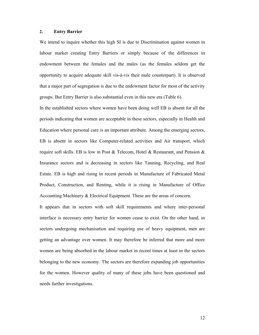#### $2<sup>1</sup>$ **Entry Barrier**

We intend to inquire whether this high SI is due to Discrimination against women in labour market creating Entry Barriers or simply because of the differences in endowment between the females and the males (as the females seldom get the opportunity to acquire adequate skill vis-à-vis their male counterpart). It is observed that a major part of segregation is due to the endowment factor for most of the activity groups. But Entry Barrier is also substantial even in this new era (Table 6).

In the established sectors where women have been doing well EB is absent for all the periods indicating that women are acceptable in these sectors, especially in Health and Education where personal care is an important attribute. Among the emerging sectors, EB is absent in sectors like Computer-related activities and Air transport, which require soft skills. EB is low in Post & Telecom, Hotel & Restaurant, and Pension & Insurance sectors and is decreasing in sectors like Tanning, Recycling, and Real Estate. EB is high and rising in recent periods in Manufacture of Fabricated Metal Product, Construction, and Renting, while it is rising in Manufacture of Office Accounting Machinery & Electrical Equipment. These are the areas of concern.

It appears that in sectors with soft skill requirements and where inter-personal interface is necessary entry barrier for women cease to exist. On the other hand, in sectors undergoing mechanisation and requiring use of heavy equipment, men are getting an advantage over women. It may therefore be inferred that more and more women are being absorbed in the labour market in recent times at least in the sectors belonging to the new economy. The sectors are therefore expanding job opportunities for the women. However quality of many of these jobs have been questioned and needs further investigations.

12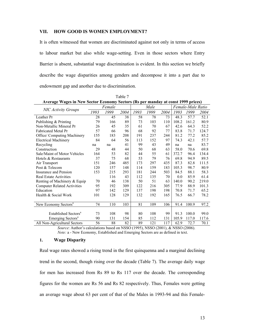#### VII. **HOW GOOD IS WOMEN EMPLOYMENT?**

It is often witnessed that women are discriminated against not only in terms of access to labour market but also while wage-setting. Even in those sectors where Entry Barrier is absent, substantial wage discrimination is evident. In this section we briefly describe the wage disparities among genders and decompose it into a part due to endowment gap and another due to discrimination.

| Average Wages in New Sector Economy Sectors (Rs per manday at const 1999 prices) |      |        |      |      |      |      |       |                   |       |  |
|----------------------------------------------------------------------------------|------|--------|------|------|------|------|-------|-------------------|-------|--|
|                                                                                  |      | Female |      |      | Male |      |       | Female-Male Ratio |       |  |
| <b>NIC Activity Groups</b>                                                       | 1993 | 1999   | 2004 | 1993 | 1999 | 2004 | 1993  | 1999              | 2004  |  |
| Leather Pr                                                                       | 28   | 45     | 38   | 58   | 78   | 73   | 48.3  | 57.7              | 52.1  |  |
| Publishing & Printing                                                            | 79   | 166    | 89   | 73   | 103  | 110  | 108.2 | 161.2             | 80.9  |  |
| Non-Metallic Mineral Pr                                                          | 26   | 45     | 35   | 61   | 70   | 67   | 42.6  | 64.3              | 52.2  |  |
| <b>Fabricated Metal Pr</b>                                                       | 57   | 66     | 96   | 68   | 92   | 77   | 83.8  | 71.7              | 124.7 |  |
| Office/ Computing Machinery                                                      | 155  | 183    | 208  | 191  | 237  | 244  | 81.2  | 77.2              | 85.2  |  |
| <b>Electrical Machinery</b>                                                      | 84   | 64     | 56   | 113  | 152  | 97   | 74.3  | 42.1              | 57.7  |  |
| Recycling                                                                        | na   | na     | 41   | 99   | 43   | 49   | na    | na                | 83.7  |  |
| Construction                                                                     | 29   | 48     | 44   | 50   | 68   | 63   | 58.0  | 70.6              | 69.8  |  |
| Sale/Maint of Motor Vehicles                                                     | 164  | 53     | 82   | 44   | 55   | 61   | 372.7 | 96.4              | 134.4 |  |
| Hotels & Restaurants                                                             | 37   | 75     | 68   | 53   | 79   | 76   | 69.8  | 94.9              | 89.5  |  |
| Air Transport                                                                    | 151  | 246    | 485  | 173  | 297  | 435  | 87.3  | 82.8              | 111.5 |  |
| Post & Telecom                                                                   | 120  | 157    | 148  | 114  | 159  | 183  | 105.3 | 98.7              | 80.9  |  |
| Insurance and Pension                                                            | 153  | 215    | 293  | 181  | 244  | 503  | 84.5  | 88.1              | 58.3  |  |
| <b>Real Estate Activities</b>                                                    |      | 116    | 43   | 112  | 135  | 70   | 0.0   | 85.9              | 61.4  |  |
| Renting of Machinery & Equip                                                     | 70   | 46     | 138  | 50   | 51   | 63   | 140.0 | 90.2              | 219.0 |  |
| <b>Computer Related Activities</b>                                               | 95   | 192    | 309  | 122  | 216  | 305  | 77.9  | 88.9              | 101.3 |  |
| Education                                                                        | 97   | 142    | 129  | 137  | 198  | 198  | 70.8  | 71.7              | 65.2  |  |
| Health & Social Work                                                             | 101  | 128    | 129  | 132  | 192  | 165  | 76.5  | 66.7              | 78.2  |  |
|                                                                                  |      |        |      |      |      |      |       |                   |       |  |
| New Economy Sectors <sup>a</sup>                                                 | 74   | 110    | 103  | 81   | 109  | 106  | 91.4  | 100.9             | 97.2  |  |
|                                                                                  |      |        |      |      |      |      |       |                   |       |  |
| Established Sectors <sup>a</sup>                                                 | 73   | 108    | 98   | 80   | 108  | 99   | 91.3  | 100.0             | 99.0  |  |
| Emerging Sectors <sup>a</sup>                                                    | 90   | 131    | 154  | 85   | 112  | 131  | 105.9 | 117.0             | 117.6 |  |
| All Non-Agricultural Sectors                                                     | 56   | 88     | 82   | 89   | 121  | 117  | 62.9  | 72.7              | 70.1  |  |

Table 7

Source: Author's calculations based on NSSO (1995), NSSO (2001), & NSSO (2006). Note: a - New Economy, Established and Emerging Sectors are as defined in text.

#### $1.$ **Wage Disparity**

Real wage rates showed a rising trend in the first quinquenna and a marginal declining trend in the second, though rising over the decade (Table 7). The average daily wage for men has increased from Rs 89 to Rs 117 over the decade. The corresponding figures for the women are Rs 56 and Rs 82 respectively. Thus, Females were getting an average wage about 63 per cent of that of the Males in 1993-94 and this Female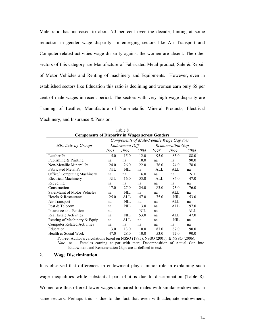Male ratio has increased to about 70 per cent over the decade, hinting at some reduction in gender wage disparity. In emerging sectors like Air Transport and Computer-related activities wage disparity against the women are absent. The other sectors of this category are Manufacture of Fabricated Metal product, Sale & Repair of Motor Vehicles and Renting of machinery and Equipments. However, even in established sectors like Education this ratio is declining and women earn only 65 per cent of male wages in recent period. The sectors with very high wage disparity are Tanning of Leather, Manufacture of Non-metallic Mineral Products, Electrical Machinery, and Insurance & Pension.

| Components of Disparity in Wages across Genders |      |                       |            |                                        |      |      |  |  |  |  |  |
|-------------------------------------------------|------|-----------------------|------------|----------------------------------------|------|------|--|--|--|--|--|
|                                                 |      |                       |            | Components of Male-Female Wage Gap (%) |      |      |  |  |  |  |  |
| <b>NIC Activity Groups</b>                      |      | <b>Endowment Diff</b> |            | <b>Remuneration Gap</b>                |      |      |  |  |  |  |  |
|                                                 | 1993 | 1999                  | 2004       | 1993                                   | 1999 | 2004 |  |  |  |  |  |
| Leather Pr                                      | 5.0  | 15.0                  | 12.0       | 95.0                                   | 85.0 | 88.0 |  |  |  |  |  |
| Publishing & Printing                           | na   | na                    | 10.0       | na                                     | na   | 90.0 |  |  |  |  |  |
| Non-Metallic Mineral Pr                         | 24.0 | 26.0                  | 22.0       | 76.0                                   | 74.0 | 78.0 |  |  |  |  |  |
| <b>Fabricated Metal Pr</b>                      | NIL  | <b>NIL</b>            | na         | ALL                                    | ALL  | na   |  |  |  |  |  |
| Office/ Computing Machinery                     | na   | na                    | 116.0      | na                                     | na   | NIL  |  |  |  |  |  |
| <b>Electrical Machinery</b>                     | NIL. | 16.0                  | 53.0       | ALL                                    | 84.0 | 47.0 |  |  |  |  |  |
| Recycling                                       | na   | na                    | na         | na                                     | na   | na   |  |  |  |  |  |
| Construction                                    | 17.0 | 27.0                  | 24.0       | 83.0                                   | 73.0 | 76.0 |  |  |  |  |  |
| Sale/Maint of Motor Vehicles                    | na   | NIL                   | na         | na                                     | ALL  | na   |  |  |  |  |  |
| Hotels & Restaurants                            | 25.0 | ALL                   | 47.0       | 75.0                                   | NIL  | 53.0 |  |  |  |  |  |
| Air Transport                                   | na   | NIL                   | na         | na                                     | ALL  | na   |  |  |  |  |  |
| Post & Telecom                                  | na   | NIL                   | 3.0        | na                                     | ALL  | 97.0 |  |  |  |  |  |
| Insurance and Pension                           | na   |                       | <b>NIL</b> | na                                     |      | ALL  |  |  |  |  |  |
| <b>Real Estate Activities</b>                   | na   | NIL                   | 53.0       | na                                     | ALL  | 47.0 |  |  |  |  |  |
| Renting of Machinery & Equip                    | na   | ALL                   | na         | na                                     | NIL  | na   |  |  |  |  |  |
| <b>Computer Related Activities</b>              | na   | na                    | na         | na                                     | na   | na   |  |  |  |  |  |
| Education                                       | 13.0 | 13.0                  | 10.0       | 87.0                                   | 87.0 | 90.0 |  |  |  |  |  |
| Health & Social Work                            | 47.0 | 28.0                  | 10.0       | 53.0                                   | 72.0 | 90.0 |  |  |  |  |  |

 $Table 8$  $\sim$ 

Source: Author's calculations based on NSSO (1995), NSSO (2001), & NSSO (2006). Note: na - Females earning at par with men; Decomposition of Actual Gap into Endowment and Remuneration Gaps are as defined in text.

#### $2.$ **Wage Discrimination**

It is observed that differences in endowment play a minor role in explaining such wage inequalities while substantial part of it is due to discrimination (Table 8). Women are thus offered lower wages compared to males with similar endowment in same sectors. Perhaps this is due to the fact that even with adequate endowment,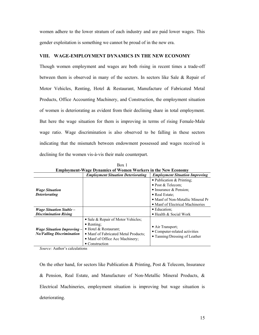women adhere to the lower stratum of each industry and are paid lower wages. This gender exploitation is something we cannot be proud of in the new era.

# VIII. WAGE-EMPLOYMENT DYNAMICS IN THE NEW ECONOMY

Though women employment and wages are both rising in recent times a trade-off between them is observed in many of the sectors. In sectors like Sale & Repair of Motor Vehicles, Renting, Hotel & Restaurant, Manufacture of Fabricated Metal Products, Office Accounting Machinery, and Construction, the employment situation of women is deteriorating as evident from their declining share in total employment. But here the wage situation for them is improving in terms of rising Female-Male wage ratio. Wage discrimination is also observed to be falling in these sectors indicating that the mismatch between endowment possessed and wages received is declining for the women vis-à-vis their male counterpart.

|                                                                       | <b>Employment-Wage Dynamics of Women Workers in the New Economy</b>                                                                                                            |                                                                                    |
|-----------------------------------------------------------------------|--------------------------------------------------------------------------------------------------------------------------------------------------------------------------------|------------------------------------------------------------------------------------|
|                                                                       | <b>Employment Situation Deteriorating</b>                                                                                                                                      | <b>Employment Situation Improving</b>                                              |
|                                                                       |                                                                                                                                                                                | • Publication $&$ Printing:                                                        |
|                                                                       |                                                                                                                                                                                | • Post & Telecom:                                                                  |
| <i><b>Wage Situation</b></i>                                          |                                                                                                                                                                                | • Insurance $&$ Pension:                                                           |
| <b>Deteriorating</b>                                                  |                                                                                                                                                                                | • Real Estate:                                                                     |
|                                                                       |                                                                                                                                                                                | • Manf of Non-Metallic Mineral Pr                                                  |
|                                                                       |                                                                                                                                                                                | • Manf of Electrical Machineries                                                   |
| <i>Wage Situation Stable –</i>                                        |                                                                                                                                                                                | • Education:                                                                       |
| <b>Discrimination Rising</b>                                          |                                                                                                                                                                                | • Health & Social Work                                                             |
| <i>Wage Situation Improving –</i><br><b>No/Falling Discrimination</b> | • Sale & Repair of Motor Vehicles;<br>$\bullet$ Renting;<br>• Hotel & Restaurant:<br>• Manf of Fabricated Metal Products;<br>• Manf of Office Acc Machinery;<br>• Construction | • Air Transport;<br>• Computer-related activities<br>• Tanning/Dressing of Leather |

Box 1  $\sim$  111.  $\mathbf{r}$   $\mathbf{r}$   $\mathbf{r}$   $\mathbf{r}$ 

Source: Author's calculations

On the other hand, for sectors like Publication  $\&$  Printing, Post  $\&$  Telecom, Insurance & Pension, Real Estate, and Manufacture of Non-Metallic Mineral Products, & Electrical Machineries, employment situation is improving but wage situation is deteriorating.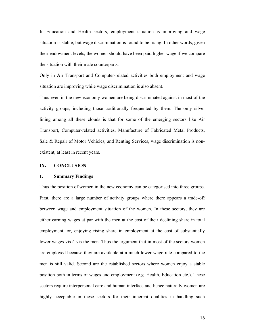In Education and Health sectors, employment situation is improving and wage situation is stable, but wage discrimination is found to be rising. In other words, given their endowment levels, the women should have been paid higher wage if we compare the situation with their male counterparts.

Only in Air Transport and Computer-related activities both employment and wage situation are improving while wage discrimination is also absent.

Thus even in the new economy women are being discriminated against in most of the activity groups, including those traditionally frequented by them. The only silver lining among all these clouds is that for some of the emerging sectors like Air Transport, Computer-related activities, Manufacture of Fabricated Metal Products, Sale & Repair of Motor Vehicles, and Renting Services, wage discrimination is nonexistent, at least in recent years.

#### $IX.$ **CONCLUSION**

#### $1.$ **Summary Findings**

Thus the position of women in the new economy can be categorised into three groups. First, there are a large number of activity groups where there appears a trade-off between wage and employment situation of the women. In these sectors, they are either earning wages at par with the men at the cost of their declining share in total employment, or, enjoying rising share in employment at the cost of substantially lower wages vis-à-vis the men. Thus the argument that in most of the sectors women are employed because they are available at a much lower wage rate compared to the men is still valid. Second are the established sectors where women enjoy a stable position both in terms of wages and employment (e.g. Health, Education etc.). These sectors require interpersonal care and human interface and hence naturally women are highly acceptable in these sectors for their inherent qualities in handling such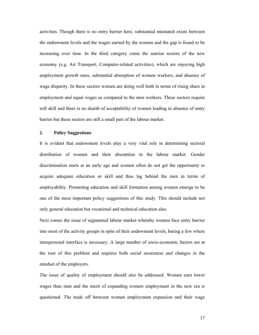activities. Though there is no entry barrier here, substantial mismatch exists between the endowment levels and the wages earned by the women and the gap is found to be increasing over time. In the third category come the sunrise sectors of the new economy (e.g. Air Transport, Computer-related activities), which are enjoying high employment growth rates, substantial absorption of women workers, and absence of wage disparity. In these sectors women are doing well both in terms of rising share in employment and equal wages as compared to the men workers. These sectors require soft skill and there is no dearth of acceptability of women leading to absence of entry barrier but these sectors are still a small part of the labour market.

#### $2.$ **Policy Suggestions**

It is evident that endowment levels play a very vital role in determining sectoral distribution of women and their absorption in the labour market. Gender discrimination starts at an early age and women often do not get the opportunity to acquire adequate education or skill and thus lag behind the men in terms of employability. Promoting education and skill formation among women emerge to be one of the most important policy suggestions of this study. This should include not only general education but vocational and technical education also.

Next comes the issue of segmented labour market whereby women face entry barrier into most of the activity groups in spite of their endowment levels, baring a few where interpersonal interface is necessary. A large number of socio-economic factors are at the root of this problem and requires both social awareness and changes in the mindset of the employers.

The issue of quality of employment should also be addressed. Women earn lower wages than men and the merit of expanding women employment in the new era is questioned. The trade off between women employment expansion and their wage

17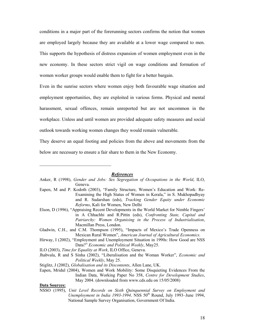conditions in a major part of the forerunning sectors confirms the notion that women are employed largely because they are available at a lower wage compared to men. This supports the hypothesis of distress expansion of women employment even in the new economy. In these sectors strict vigil on wage conditions and formation of women worker groups would enable them to fight for a better bargain.

Even in the sunrise sectors where women enjoy both favourable wage situation and employment opportunities, they are exploited in various forms. Physical and mental harassment, sexual offences, remain unreported but are not uncommon in the workplace. Unless and until women are provided adequate safety measures and social outlook towards working women changes they would remain vulnerable.

They deserve an equal footing and policies from the above and movements from the below are necessary to ensure a fair share to them in the New Economy.

# **References**

|  |         |  |  | Anker, R (1998), Gender and Jobs: Sex Segregation of Occupations in the World, ILO, |  |  |
|--|---------|--|--|-------------------------------------------------------------------------------------|--|--|
|  | Geneva. |  |  |                                                                                     |  |  |

- Eapen, M and P. Kodoth (2003), "Family Structure, Women's Education and Work: Re-Examining the High Status of Women in Kerala," in S. Mukhopadhyay and R. Sudarshan (eds), Tracking Gender Equity under Economic Reforms, Kali for Women, New Delhi
- Elson, D (1996), "Appraising Recent Developments in the World Market for Nimble Fingers' in A Chhachhi and R.Pittin (eds), Confronting State, Capital and Patriarchy: Women Organising in the Process of Industrialisation, Macmillan Press, London.
- Gladwin, C.H., and C.M. Thompson (1995), "Impacts of Mexico's Trade Openness on Mexican Rural Women", American Journal of Agricultural Economics.
- Hirway, I (2002), "Employment and Unemployment Situation in 1990s: How Good are NSS Data?" Economic and Political Weekly, May25.
- ILO (2003), Time for Equality at Work, ILO Office, Geneva.
- Jhabvala, R and S Sinha (2002), "Liberalisation and the Woman Worker", *Economic and* Political Weekly, May 25.
- Stiglitz, J (2002), Globalisation and its Discontents, Allen Lane, UK.
- Eapen, Mridul (2004), Women and Work Mobility: Some Disquieting Evidences From the Indian Data, Working Paper No 358, Centre for Development Studies, May 2004. (downloaded from www.cds.edu on 15/05/2008)

### **Data Sources:**

NSSO (1995), Unit Level Records on Sixth Quinquennial Survey on Employment and *Unemployment in India 1993-1994*, NSS  $50<sup>th</sup>$  Round, July 1993-June 1994, National Sample Survey Organisation, Government Of India.